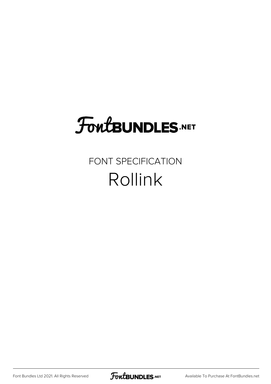## **FoutBUNDLES.NET**

## FONT SPECIFICATION Rollink

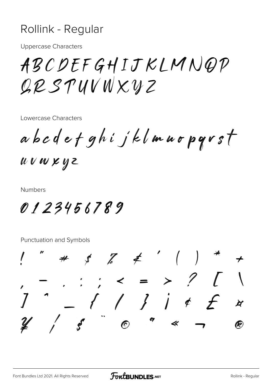## Rollink - Regular

**Uppercase Characters** 

ABCDEFGHIJKLMNQP  $QPLSPUVWXWZ$ 

Lowercase Characters

a b c d e t g h i j k l m u o p g v s t

uvwxyz

**Numbers** 

0123456789

Punctuation and Symbols

 $\oint K$   $\neq$   $\left($  $\therefore$   $\therefore$   $\lt$  = > ?  $\left\{ \begin{array}{ccc} & j & j & k \\ & \end{array} \right.$  $\cancel{\alpha}$  $\bigcirc$ (PC)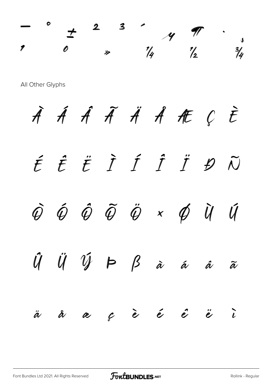

All Other Glyphs

À Á Á Ã Ä Å Æ Ç È ÉÉËËÌÍÎÏ  $\tilde{\cal N}$  $\mathcal{D}$  $\begin{array}{ccccccccccccc} \hat{\varphi} & \hat{\varphi} & \hat{\varphi} & \tilde{\varphi} & \tilde{\varphi} & \varphi & \tilde{\varphi} & \tilde{\varphi} & \tilde{\varphi} & \tilde{\varphi} & \tilde{\varphi} & \tilde{\varphi} & \tilde{\varphi} & \tilde{\varphi} & \tilde{\varphi} & \tilde{\varphi} & \tilde{\varphi} & \tilde{\varphi} & \tilde{\varphi} & \tilde{\varphi} & \tilde{\varphi} & \tilde{\varphi} & \tilde{\varphi} & \tilde{\varphi} & \tilde{\varphi} & \tilde{\varphi} & \tilde{\varphi} & \$ Ú  $\hat{U}$   $\hat{U}$   $\hat{U}$   $\hat{V}$   $\mapsto$   $\beta$   $\hat{\alpha}$ á  $\hat{\mathscr{A}}$  $\widetilde{\alpha}$  $e$  è é  $e$  $\overline{\iota}$  $\overset{''}{\mathcal{C}}$ å  $\ddot{\mathscr{A}}$ æ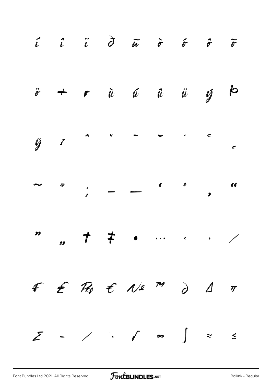